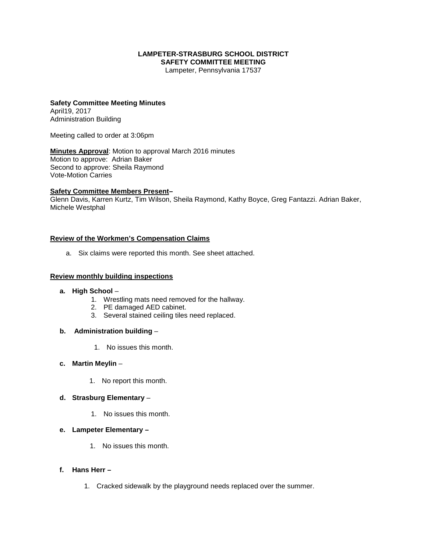#### **LAMPETER-STRASBURG SCHOOL DISTRICT SAFETY COMMITTEE MEETING**

Lampeter, Pennsylvania 17537

#### **Safety Committee Meeting Minutes** April19, 2017 Administration Building

Meeting called to order at 3:06pm

**Minutes Approval**: Motion to approval March 2016 minutes Motion to approve: Adrian Baker Second to approve: Sheila Raymond Vote-Motion Carries

### **Safety Committee Members Present–**

Glenn Davis, Karren Kurtz, Tim Wilson, Sheila Raymond, Kathy Boyce, Greg Fantazzi. Adrian Baker, Michele Westphal

### **Review of the Workmen's Compensation Claims**

a. Six claims were reported this month. See sheet attached.

#### **Review monthly building inspections**

- **a. High School**
	- 1. Wrestling mats need removed for the hallway.
	- 2. PE damaged AED cabinet.
	- 3. Several stained ceiling tiles need replaced.
- **b. Administration building**
	- 1. No issues this month.
- **c. Martin Meylin**
	- 1. No report this month.
- **d. Strasburg Elementary**
	- 1. No issues this month.
- **e. Lampeter Elementary –**
	- 1. No issues this month.
- **f. Hans Herr –**
	- 1. Cracked sidewalk by the playground needs replaced over the summer.